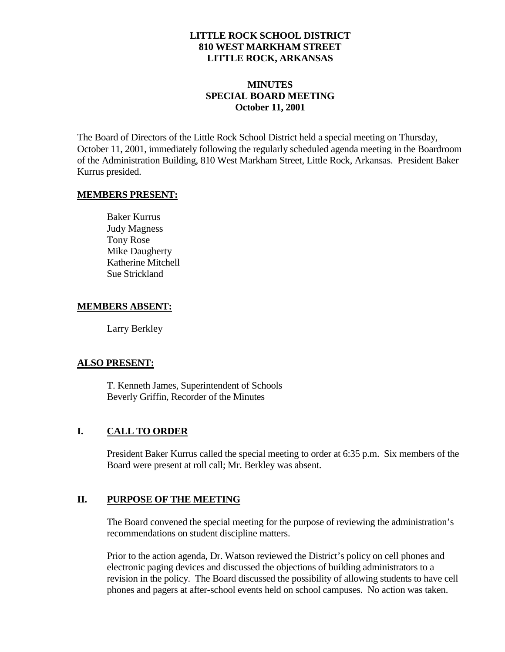## **LITTLE ROCK SCHOOL DISTRICT 810 WEST MARKHAM STREET LITTLE ROCK, ARKANSAS**

## **MINUTES SPECIAL BOARD MEETING October 11, 2001**

The Board of Directors of the Little Rock School District held a special meeting on Thursday, October 11, 2001, immediately following the regularly scheduled agenda meeting in the Boardroom of the Administration Building, 810 West Markham Street, Little Rock, Arkansas. President Baker Kurrus presided.

#### **MEMBERS PRESENT:**

Baker Kurrus Judy Magness Tony Rose Mike Daugherty Katherine Mitchell Sue Strickland

#### **MEMBERS ABSENT:**

Larry Berkley

#### **ALSO PRESENT:**

T. Kenneth James, Superintendent of Schools Beverly Griffin, Recorder of the Minutes

## **I. CALL TO ORDER**

President Baker Kurrus called the special meeting to order at 6:35 p.m. Six members of the Board were present at roll call; Mr. Berkley was absent.

## **II. PURPOSE OF THE MEETING**

The Board convened the special meeting for the purpose of reviewing the administration's recommendations on student discipline matters.

Prior to the action agenda, Dr. Watson reviewed the District's policy on cell phones and electronic paging devices and discussed the objections of building administrators to a revision in the policy. The Board discussed the possibility of allowing students to have cell phones and pagers at after-school events held on school campuses. No action was taken.